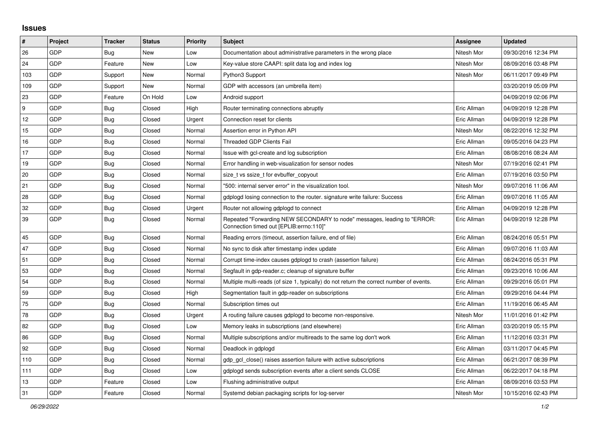## **Issues**

| #               | Project    | <b>Tracker</b> | <b>Status</b> | Priority | <b>Subject</b>                                                                                                      | <b>Assignee</b> | <b>Updated</b>      |
|-----------------|------------|----------------|---------------|----------|---------------------------------------------------------------------------------------------------------------------|-----------------|---------------------|
| 26              | GDP        | Bug            | New           | Low      | Documentation about administrative parameters in the wrong place                                                    | Nitesh Mor      | 09/30/2016 12:34 PM |
| 24              | GDP        | Feature        | <b>New</b>    | Low      | Key-value store CAAPI: split data log and index log                                                                 | Nitesh Mor      | 08/09/2016 03:48 PM |
| 103             | GDP        | Support        | New           | Normal   | Python3 Support                                                                                                     | Nitesh Mor      | 06/11/2017 09:49 PM |
| 109             | GDP        | Support        | New           | Normal   | GDP with accessors (an umbrella item)                                                                               |                 | 03/20/2019 05:09 PM |
| 23              | GDP        | Feature        | On Hold       | Low      | Android support                                                                                                     |                 | 04/09/2019 02:06 PM |
| <u>g</u>        | GDP        | Bug            | Closed        | High     | Router terminating connections abruptly                                                                             | Eric Allman     | 04/09/2019 12:28 PM |
| 12 <sub>2</sub> | GDP        | Bug            | Closed        | Urgent   | Connection reset for clients                                                                                        | Eric Allman     | 04/09/2019 12:28 PM |
| 15              | GDP        | <b>Bug</b>     | Closed        | Normal   | Assertion error in Python API                                                                                       | Nitesh Mor      | 08/22/2016 12:32 PM |
| 16              | GDP        | <b>Bug</b>     | Closed        | Normal   | <b>Threaded GDP Clients Fail</b>                                                                                    | Eric Allman     | 09/05/2016 04:23 PM |
| 17              | GDP        | <b>Bug</b>     | Closed        | Normal   | Issue with gcl-create and log subscription                                                                          | Eric Allman     | 08/08/2016 08:24 AM |
| 19              | GDP        | <b>Bug</b>     | Closed        | Normal   | Error handling in web-visualization for sensor nodes                                                                | Nitesh Mor      | 07/19/2016 02:41 PM |
| 20              | GDP        | <b>Bug</b>     | Closed        | Normal   | size t vs ssize t for evbuffer copyout                                                                              | Eric Allman     | 07/19/2016 03:50 PM |
| 21              | GDP        | Bug            | Closed        | Normal   | '500: internal server error" in the visualization tool.                                                             | Nitesh Mor      | 09/07/2016 11:06 AM |
| 28              | GDP        | Bug            | Closed        | Normal   | gdplogd losing connection to the router, signature write failure: Success                                           | Eric Allman     | 09/07/2016 11:05 AM |
| 32              | GDP        | <b>Bug</b>     | Closed        | Urgent   | Router not allowing gdplogd to connect                                                                              | Eric Allman     | 04/09/2019 12:28 PM |
| 39              | GDP        | Bug            | Closed        | Normal   | Repeated "Forwarding NEW SECONDARY to node" messages, leading to "ERROR:<br>Connection timed out [EPLIB:errno:110]" | Eric Allman     | 04/09/2019 12:28 PM |
| 45              | GDP        | Bug            | Closed        | Normal   | Reading errors (timeout, assertion failure, end of file)                                                            | Eric Allman     | 08/24/2016 05:51 PM |
| 47              | GDP        | Bug            | Closed        | Normal   | No sync to disk after timestamp index update                                                                        | Eric Allman     | 09/07/2016 11:03 AM |
| 51              | GDP        | <b>Bug</b>     | Closed        | Normal   | Corrupt time-index causes gdplogd to crash (assertion failure)                                                      | Eric Allman     | 08/24/2016 05:31 PM |
| 53              | GDP        | Bug            | Closed        | Normal   | Segfault in gdp-reader.c; cleanup of signature buffer                                                               | Eric Allman     | 09/23/2016 10:06 AM |
| 54              | GDP        | <b>Bug</b>     | Closed        | Normal   | Multiple multi-reads (of size 1, typically) do not return the correct number of events.                             | Eric Allman     | 09/29/2016 05:01 PM |
| 59              | GDP        | Bug            | Closed        | High     | Segmentation fault in gdp-reader on subscriptions                                                                   | Eric Allman     | 09/29/2016 04:44 PM |
| 75              | GDP        | Bug            | Closed        | Normal   | Subscription times out                                                                                              | Eric Allman     | 11/19/2016 06:45 AM |
| 78              | GDP        | Bug            | Closed        | Urgent   | A routing failure causes gdplogd to become non-responsive.                                                          | Nitesh Mor      | 11/01/2016 01:42 PM |
| 82              | GDP        | Bug            | Closed        | Low      | Memory leaks in subscriptions (and elsewhere)                                                                       | Eric Allman     | 03/20/2019 05:15 PM |
| 86              | GDP        | <b>Bug</b>     | Closed        | Normal   | Multiple subscriptions and/or multireads to the same log don't work                                                 | Eric Allman     | 11/12/2016 03:31 PM |
| 92              | GDP        | Bug            | Closed        | Normal   | Deadlock in gdplogd                                                                                                 | Eric Allman     | 03/11/2017 04:45 PM |
| 110             | GDP        | Bug            | Closed        | Normal   | gdp_gcl_close() raises assertion failure with active subscriptions                                                  | Eric Allman     | 06/21/2017 08:39 PM |
| 111             | <b>GDP</b> | Bug            | Closed        | Low      | gdplogd sends subscription events after a client sends CLOSE                                                        | Eric Allman     | 06/22/2017 04:18 PM |
| 13              | GDP        | Feature        | Closed        | Low      | Flushing administrative output                                                                                      | Eric Allman     | 08/09/2016 03:53 PM |
| 31              | GDP        | Feature        | Closed        | Normal   | Systemd debian packaging scripts for log-server                                                                     | Nitesh Mor      | 10/15/2016 02:43 PM |